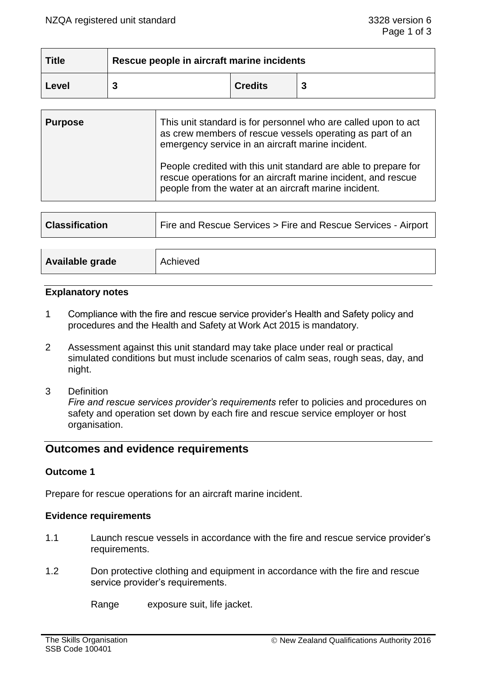| <b>Title</b> | Rescue people in aircraft marine incidents |                |  |  |
|--------------|--------------------------------------------|----------------|--|--|
| Level        |                                            | <b>Credits</b> |  |  |

| <b>Purpose</b> | This unit standard is for personnel who are called upon to act<br>as crew members of rescue vessels operating as part of an<br>emergency service in an aircraft marine incident.          |
|----------------|-------------------------------------------------------------------------------------------------------------------------------------------------------------------------------------------|
|                | People credited with this unit standard are able to prepare for<br>rescue operations for an aircraft marine incident, and rescue<br>people from the water at an aircraft marine incident. |

| <b>Classification</b> | Fire and Rescue Services > Fire and Rescue Services - Airport |  |  |
|-----------------------|---------------------------------------------------------------|--|--|
|                       |                                                               |  |  |
| Available grade       | Achieved                                                      |  |  |

#### **Explanatory notes**

- 1 Compliance with the fire and rescue service provider's Health and Safety policy and procedures and the Health and Safety at Work Act 2015 is mandatory.
- 2 Assessment against this unit standard may take place under real or practical simulated conditions but must include scenarios of calm seas, rough seas, day, and night.
- 3 Definition

*Fire and rescue services provider's requirements* refer to policies and procedures on safety and operation set down by each fire and rescue service employer or host organisation.

# **Outcomes and evidence requirements**

## **Outcome 1**

Prepare for rescue operations for an aircraft marine incident.

## **Evidence requirements**

- 1.1 Launch rescue vessels in accordance with the fire and rescue service provider's requirements.
- 1.2 Don protective clothing and equipment in accordance with the fire and rescue service provider's requirements.

Range exposure suit, life jacket.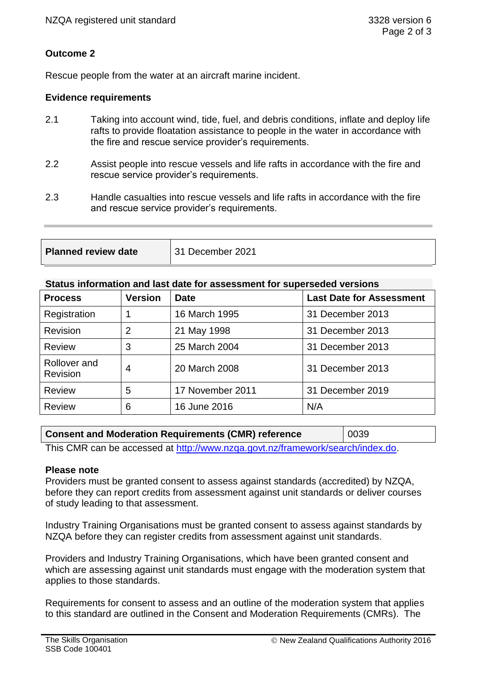## **Outcome 2**

Rescue people from the water at an aircraft marine incident.

#### **Evidence requirements**

- 2.1 Taking into account wind, tide, fuel, and debris conditions, inflate and deploy life rafts to provide floatation assistance to people in the water in accordance with the fire and rescue service provider's requirements.
- 2.2 Assist people into rescue vessels and life rafts in accordance with the fire and rescue service provider's requirements.
- 2.3 Handle casualties into rescue vessels and life rafts in accordance with the fire and rescue service provider's requirements.

**Planned review date** 31 December 2021

#### **Status information and last date for assessment for superseded versions**

| <b>Process</b>           | <b>Version</b> | <b>Date</b>      | <b>Last Date for Assessment</b> |
|--------------------------|----------------|------------------|---------------------------------|
| Registration             |                | 16 March 1995    | 31 December 2013                |
| Revision                 | $\overline{2}$ | 21 May 1998      | 31 December 2013                |
| <b>Review</b>            | 3              | 25 March 2004    | 31 December 2013                |
| Rollover and<br>Revision | 4              | 20 March 2008    | 31 December 2013                |
| <b>Review</b>            | 5              | 17 November 2011 | 31 December 2019                |
| <b>Review</b>            | 6              | 16 June 2016     | N/A                             |

## **Consent and Moderation Requirements (CMR) reference** | 0039

This CMR can be accessed at [http://www.nzqa.govt.nz/framework/search/index.do.](http://www.nzqa.govt.nz/framework/search/index.do)

#### **Please note**

Providers must be granted consent to assess against standards (accredited) by NZQA, before they can report credits from assessment against unit standards or deliver courses of study leading to that assessment.

Industry Training Organisations must be granted consent to assess against standards by NZQA before they can register credits from assessment against unit standards.

Providers and Industry Training Organisations, which have been granted consent and which are assessing against unit standards must engage with the moderation system that applies to those standards.

Requirements for consent to assess and an outline of the moderation system that applies to this standard are outlined in the Consent and Moderation Requirements (CMRs). The